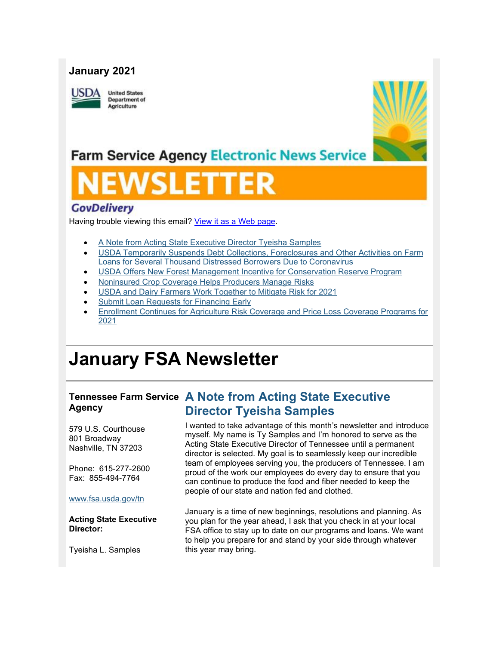## **January 2021**



**United States Department of** Agriculture



## **Farm Service Agency Electronic News Service**

## **GovDelivery**

Having trouble viewing this email? [View it as a Web page.](https://content.govdelivery.com/accounts/USFSA/bulletins/2bdbf35)

- [A Note from Acting State Executive Director Tyeisha Samples](https://admin.govdelivery.com/accounts/USFSA/bulletins?sortdesc=bulletinsort-sent_at&state=sent#link_2)
- [USDA Temporarily Suspends Debt Collections, Foreclosures and Other Activities on Farm](https://admin.govdelivery.com/accounts/USFSA/bulletins?sortdesc=bulletinsort-sent_at&state=sent#link_4)  [Loans for Several Thousand Distressed Borrowers Due to Coronavirus](https://admin.govdelivery.com/accounts/USFSA/bulletins?sortdesc=bulletinsort-sent_at&state=sent#link_4)
- [USDA Offers New Forest Management Incentive for Conservation Reserve Program](https://admin.govdelivery.com/accounts/USFSA/bulletins?sortdesc=bulletinsort-sent_at&state=sent#link_6)
- [Noninsured Crop Coverage Helps Producers Manage Risks](https://admin.govdelivery.com/accounts/USFSA/bulletins?sortdesc=bulletinsort-sent_at&state=sent#link_9)
- [USDA and Dairy Farmers Work Together to Mitigate Risk for 2021](https://admin.govdelivery.com/accounts/USFSA/bulletins?sortdesc=bulletinsort-sent_at&state=sent#link_7)
- [Submit Loan Requests for Financing Early](https://admin.govdelivery.com/accounts/USFSA/bulletins?sortdesc=bulletinsort-sent_at&state=sent#link_1)
- [Enrollment Continues for Agriculture Risk Coverage and Price Loss Coverage Programs for](https://admin.govdelivery.com/accounts/USFSA/bulletins?sortdesc=bulletinsort-sent_at&state=sent#link_8)  [2021](https://admin.govdelivery.com/accounts/USFSA/bulletins?sortdesc=bulletinsort-sent_at&state=sent#link_8)

## **January FSA Newsletter**

# **Agency**

579 U.S. Courthouse 801 Broadway Nashville, TN 37203

Phone: 615-277-2600 Fax: 855-494-7764

#### [www.fsa.usda.gov/tn](http://www.fsa.usda.gov/xx?utm_medium=email&utm_source=govdelivery)

**Acting State Executive Director:**

Tyeisha L. Samples

## **Tennessee Farm Service A Note from Acting State Executive Director Tyeisha Samples**

I wanted to take advantage of this month's newsletter and introduce myself. My name is Ty Samples and I'm honored to serve as the Acting State Executive Director of Tennessee until a permanent director is selected. My goal is to seamlessly keep our incredible team of employees serving you, the producers of Tennessee. I am proud of the work our employees do every day to ensure that you can continue to produce the food and fiber needed to keep the people of our state and nation fed and clothed.

January is a time of new beginnings, resolutions and planning. As you plan for the year ahead, I ask that you check in at your local FSA office to stay up to date on our programs and loans. We want to help you prepare for and stand by your side through whatever this year may bring.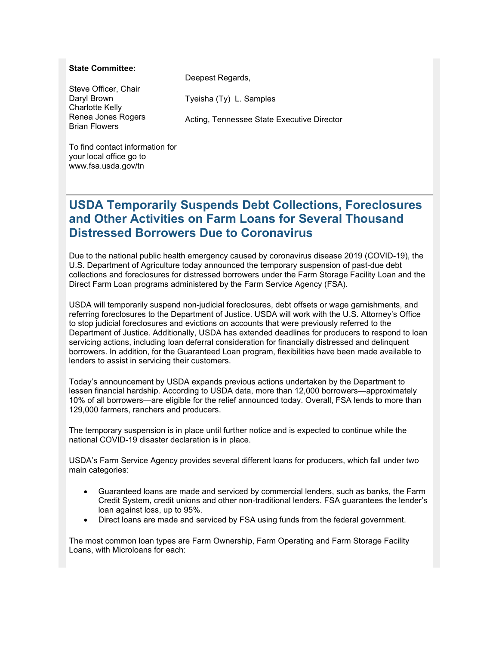#### **State Committee:**

Steve Officer, Chair Daryl Brown Charlotte Kelly Renea Jones Rogers Brian Flowers

Deepest Regards,

Tyeisha (Ty) L. Samples

Acting, Tennessee State Executive Director

To find contact information for your local office go to www.fsa.usda.gov/tn

## **USDA Temporarily Suspends Debt Collections, Foreclosures and Other Activities on Farm Loans for Several Thousand Distressed Borrowers Due to Coronavirus**

Due to the national public health emergency caused by coronavirus disease 2019 (COVID-19), the U.S. Department of Agriculture today announced the temporary suspension of past-due debt collections and foreclosures for distressed borrowers under the Farm Storage Facility Loan and the Direct Farm Loan programs administered by the Farm Service Agency (FSA).

USDA will temporarily suspend non-judicial foreclosures, debt offsets or wage garnishments, and referring foreclosures to the Department of Justice. USDA will work with the U.S. Attorney's Office to stop judicial foreclosures and evictions on accounts that were previously referred to the Department of Justice. Additionally, USDA has extended deadlines for producers to respond to loan servicing actions, including loan deferral consideration for financially distressed and delinquent borrowers. In addition, for the Guaranteed Loan program, flexibilities have been made available to lenders to assist in servicing their customers.

Today's announcement by USDA expands previous actions undertaken by the Department to lessen financial hardship. According to USDA data, more than 12,000 borrowers—approximately 10% of all borrowers—are eligible for the relief announced today. Overall, FSA lends to more than 129,000 farmers, ranchers and producers.

The temporary suspension is in place until further notice and is expected to continue while the national COVID-19 disaster declaration is in place.

USDA's Farm Service Agency provides several different loans for producers, which fall under two main categories:

- Guaranteed loans are made and serviced by commercial lenders, such as banks, the Farm Credit System, credit unions and other non-traditional lenders. FSA guarantees the lender's loan against loss, up to 95%.
- Direct loans are made and serviced by FSA using funds from the federal government.

The most common loan types are Farm Ownership, Farm Operating and Farm Storage Facility Loans, with Microloans for each: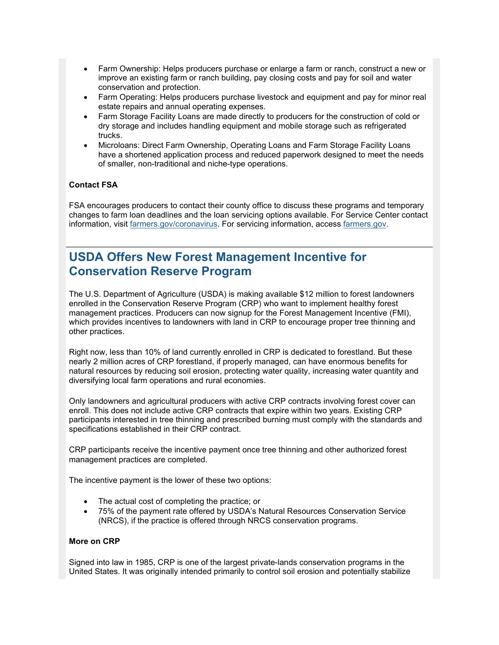- Farm Ownership: Helps producers purchase or enlarge a farm or ranch, construct a new or improve an existing farm or ranch building, pay closing costs and pay for soil and water conservation and protection.
- Farm Operating: Helps producers purchase livestock and equipment and pay for minor real estate repairs and annual operating expenses.
- Farm Storage Facility Loans are made directly to producers for the construction of cold or dry storage and includes handling equipment and mobile storage such as refrigerated trucks.
- Microloans: Direct Farm Ownership, Operating Loans and Farm Storage Facility Loans have a shortened application process and reduced paperwork designed to meet the needs of smaller, non-traditional and niche-type operations.

### **Contact FSA**

FSA encourages producers to contact their county office to discuss these programs and temporary changes to farm loan deadlines and the loan servicing options available. For Service Center contact information, visit [farmers.gov/coronavirus.](https://www.farmers.gov/coronavirus?utm_medium=email&utm_source=govdelivery) For servicing information, access [farmers.gov.](https://www.farmers.gov/?utm_medium=email&utm_source=govdelivery)

## **USDA Offers New Forest Management Incentive for Conservation Reserve Program**

The U.S. Department of Agriculture (USDA) is making available \$12 million to forest landowners enrolled in the Conservation Reserve Program (CRP) who want to implement healthy forest management practices. Producers can now signup for the Forest Management Incentive (FMI), which provides incentives to landowners with land in CRP to encourage proper tree thinning and other practices.

Right now, less than 10% of land currently enrolled in CRP is dedicated to forestland. But these nearly 2 million acres of CRP forestland, if properly managed, can have enormous benefits for natural resources by reducing soil erosion, protecting water quality, increasing water quantity and diversifying local farm operations and rural economies.

Only landowners and agricultural producers with active CRP contracts involving forest cover can enroll. This does not include active CRP contracts that expire within two years. Existing CRP participants interested in tree thinning and prescribed burning must comply with the standards and specifications established in their CRP contract.

CRP participants receive the incentive payment once tree thinning and other authorized forest management practices are completed.

The incentive payment is the lower of these two options:

- The actual cost of completing the practice; or
- 75% of the payment rate offered by USDA's Natural Resources Conservation Service (NRCS), if the practice is offered through NRCS conservation programs.

#### **More on CRP**

Signed into law in 1985, CRP is one of the largest private-lands conservation programs in the United States. It was originally intended primarily to control soil erosion and potentially stabilize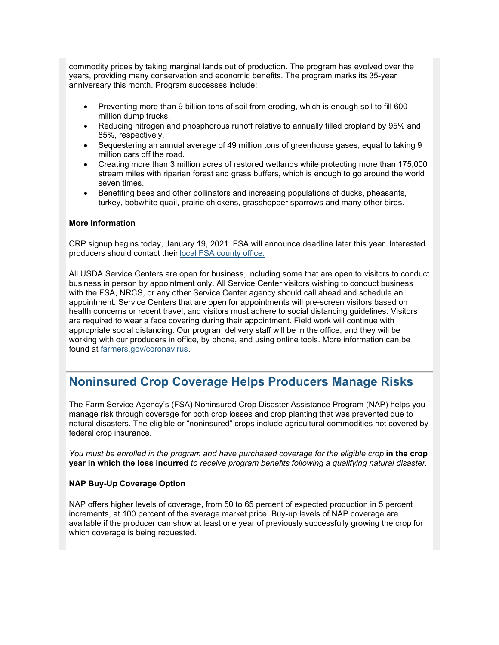commodity prices by taking marginal lands out of production. The program has evolved over the years, providing many conservation and economic benefits. The program marks its 35-year anniversary this month. Program successes include:

- Preventing more than 9 billion tons of soil from eroding, which is enough soil to fill 600 million dump trucks.
- Reducing nitrogen and phosphorous runoff relative to annually tilled cropland by 95% and 85%, respectively.
- Sequestering an annual average of 49 million tons of greenhouse gases, equal to taking 9 million cars off the road.
- Creating more than 3 million acres of restored wetlands while protecting more than 175,000 stream miles with riparian forest and grass buffers, which is enough to go around the world seven times.
- Benefiting bees and other pollinators and increasing populations of ducks, pheasants, turkey, bobwhite quail, prairie chickens, grasshopper sparrows and many other birds.

#### **More Information**

CRP signup begins today, January 19, 2021. FSA will announce deadline later this year. Interested producers should contact their [local FSA county office.](https://www.farmers.gov/service-center-locator?utm_medium=email&utm_source=govdelivery)

All USDA Service Centers are open for business, including some that are open to visitors to conduct business in person by appointment only. All Service Center visitors wishing to conduct business with the FSA, NRCS, or any other Service Center agency should call ahead and schedule an appointment. Service Centers that are open for appointments will pre-screen visitors based on health concerns or recent travel, and visitors must adhere to social distancing guidelines. Visitors are required to wear a face covering during their appointment. Field work will continue with appropriate social distancing. Our program delivery staff will be in the office, and they will be working with our producers in office, by phone, and using online tools. More information can be found at [farmers.gov/coronavirus.](https://gcc02.safelinks.protection.outlook.com/?data=02%7C01%7C%7C678e3f637f0141c56a8a08d86a0b0a6e%7Ced5b36e701ee4ebc867ee03cfa0d4697%7C0%7C0%7C637375942935598819&reserved=0&sdata=vhnWb5I7oGyEMJDch%2FpMe0OMOkpyvlpJKKnSmUkHg2M%3D&url=http%3A%2F%2Fwww.farmers.govcoronavirus%2F&utm_medium=email&utm_source=govdelivery)

## **Noninsured Crop Coverage Helps Producers Manage Risks**

The Farm Service Agency's (FSA) Noninsured Crop Disaster Assistance Program (NAP) helps you manage risk through coverage for both crop losses and crop planting that was prevented due to natural disasters. The eligible or "noninsured" crops include agricultural commodities not covered by federal crop insurance.

*You must be enrolled in the program and have purchased coverage for the eligible crop* **in the crop year in which the loss incurred** *to receive program benefits following a qualifying natural disaster.*

#### **NAP Buy-Up Coverage Option**

NAP offers higher levels of coverage, from 50 to 65 percent of expected production in 5 percent increments, at 100 percent of the average market price. Buy-up levels of NAP coverage are available if the producer can show at least one year of previously successfully growing the crop for which coverage is being requested.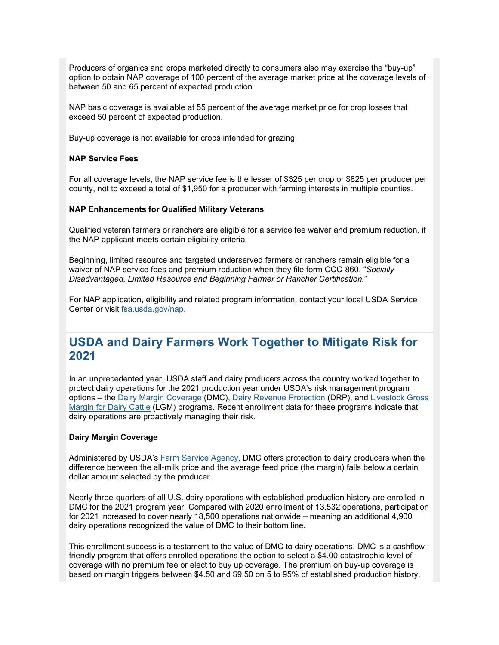Producers of organics and crops marketed directly to consumers also may exercise the "buy-up" option to obtain NAP coverage of 100 percent of the average market price at the coverage levels of between 50 and 65 percent of expected production.

NAP basic coverage is available at 55 percent of the average market price for crop losses that exceed 50 percent of expected production.

Buy-up coverage is not available for crops intended for grazing.

#### **NAP Service Fees**

For all coverage levels, the NAP service fee is the lesser of \$325 per crop or \$825 per producer per county, not to exceed a total of \$1,950 for a producer with farming interests in multiple counties.

#### **NAP Enhancements for Qualified Military Veterans**

Qualified veteran farmers or ranchers are eligible for a service fee waiver and premium reduction, if the NAP applicant meets certain eligibility criteria.

Beginning, limited resource and targeted underserved farmers or ranchers remain eligible for a waiver of NAP service fees and premium reduction when they file form CCC-860, "*Socially Disadvantaged, Limited Resource and Beginning Farmer or Rancher Certification.*"

For NAP application, eligibility and related program information, contact your local USDA Service Center or visit [fsa.usda.gov/nap.](http://www.fsa.usda.gov/nap?utm_medium=email&utm_source=govdelivery)

## **USDA and Dairy Farmers Work Together to Mitigate Risk for 2021**

In an unprecedented year, USDA staff and dairy producers across the country worked together to protect dairy operations for the 2021 production year under USDA's risk management program options – the [Dairy Margin Coverage](https://gcc02.safelinks.protection.outlook.com/?data=04%7C01%7C%7C8b89667300a341bb5f7b08d8b95eb713%7Ced5b36e701ee4ebc867ee03cfa0d4697%7C0%7C0%7C637463163736704569%7CUnknown%7CTWFpbGZsb3d8eyJWIjoiMC4wLjAwMDAiLCJQIjoiV2luMzIiLCJBTiI6Ik1haWwiLCJXVCI6Mn0%3D%7C1000&reserved=0&sdata=x4uO9dA8hCD15%2BICk3Ca7mqMc%2BsdTZue4oVYhKOQPrg%3D&url=https%3A%2F%2Fwww.fsa.usda.gov%2Fprograms-and-services%2Fdairy-margin-coverage-program%2Findex%3Futm_medium%3Demail%26utm_source%3Dgovdelivery&utm_medium=email&utm_source=govdelivery) (DMC), [Dairy Revenue Protection](https://gcc02.safelinks.protection.outlook.com/?data=04%7C01%7C%7C8b89667300a341bb5f7b08d8b95eb713%7Ced5b36e701ee4ebc867ee03cfa0d4697%7C0%7C0%7C637463163736704569%7CUnknown%7CTWFpbGZsb3d8eyJWIjoiMC4wLjAwMDAiLCJQIjoiV2luMzIiLCJBTiI6Ik1haWwiLCJXVCI6Mn0%3D%7C1000&reserved=0&sdata=ERy%2BCWHe5kCwPcG4Tey9AefiMF1oYz4r8zNeeFT3Zz8%3D&url=https%3A%2F%2Fwww.rma.usda.gov%2Fen%2FFact-Sheets%2FNational-Fact-Sheets%2FDairy-Revenue-Protection%3Futm_medium%3Demail%26utm_source%3Dgovdelivery&utm_medium=email&utm_source=govdelivery) (DRP), and [Livestock Gross](https://gcc02.safelinks.protection.outlook.com/?data=04%7C01%7C%7C8b89667300a341bb5f7b08d8b95eb713%7Ced5b36e701ee4ebc867ee03cfa0d4697%7C0%7C0%7C637463163736714524%7CUnknown%7CTWFpbGZsb3d8eyJWIjoiMC4wLjAwMDAiLCJQIjoiV2luMzIiLCJBTiI6Ik1haWwiLCJXVCI6Mn0%3D%7C1000&reserved=0&sdata=GG83pL6iZgxie4hkucjy2ya%2Fdc%2BXrTaRWvzZf5LaHsg%3D&url=https%3A%2F%2Fwww.rma.usda.gov%2FNews-Room%2FFrequently-Asked-Questions%2FLivestock-Gross-Margin---Dairy%3Futm_medium%3Demail%26utm_source%3Dgovdelivery&utm_medium=email&utm_source=govdelivery)  [Margin for Dairy Cattle](https://gcc02.safelinks.protection.outlook.com/?data=04%7C01%7C%7C8b89667300a341bb5f7b08d8b95eb713%7Ced5b36e701ee4ebc867ee03cfa0d4697%7C0%7C0%7C637463163736714524%7CUnknown%7CTWFpbGZsb3d8eyJWIjoiMC4wLjAwMDAiLCJQIjoiV2luMzIiLCJBTiI6Ik1haWwiLCJXVCI6Mn0%3D%7C1000&reserved=0&sdata=GG83pL6iZgxie4hkucjy2ya%2Fdc%2BXrTaRWvzZf5LaHsg%3D&url=https%3A%2F%2Fwww.rma.usda.gov%2FNews-Room%2FFrequently-Asked-Questions%2FLivestock-Gross-Margin---Dairy%3Futm_medium%3Demail%26utm_source%3Dgovdelivery&utm_medium=email&utm_source=govdelivery) (LGM) programs. Recent enrollment data for these programs indicate that dairy operations are proactively managing their risk.

#### **Dairy Margin Coverage**

Administered by USDA's [Farm Service Agency,](https://gcc02.safelinks.protection.outlook.com/?data=04%7C01%7C%7C8b89667300a341bb5f7b08d8b95eb713%7Ced5b36e701ee4ebc867ee03cfa0d4697%7C0%7C0%7C637463163736714524%7CUnknown%7CTWFpbGZsb3d8eyJWIjoiMC4wLjAwMDAiLCJQIjoiV2luMzIiLCJBTiI6Ik1haWwiLCJXVCI6Mn0%3D%7C1000&reserved=0&sdata=5SkYcA43EU1Mn7KSH1ftywZvU2JRxHoG0%2Fyeek9mGPw%3D&url=https%3A%2F%2Fwww.fsa.usda.gov%2F%3Futm_medium%3Demail%26utm_source%3Dgovdelivery&utm_medium=email&utm_source=govdelivery) DMC offers protection to dairy producers when the difference between the all-milk price and the average feed price (the margin) falls below a certain dollar amount selected by the producer.

Nearly three-quarters of all U.S. dairy operations with established production history are enrolled in DMC for the 2021 program year. Compared with 2020 enrollment of 13,532 operations, participation for 2021 increased to cover nearly 18,500 operations nationwide – meaning an additional 4,900 dairy operations recognized the value of DMC to their bottom line.

This enrollment success is a testament to the value of DMC to dairy operations. DMC is a cashflowfriendly program that offers enrolled operations the option to select a \$4.00 catastrophic level of coverage with no premium fee or elect to buy up coverage. The premium on buy-up coverage is based on margin triggers between \$4.50 and \$9.50 on 5 to 95% of established production history.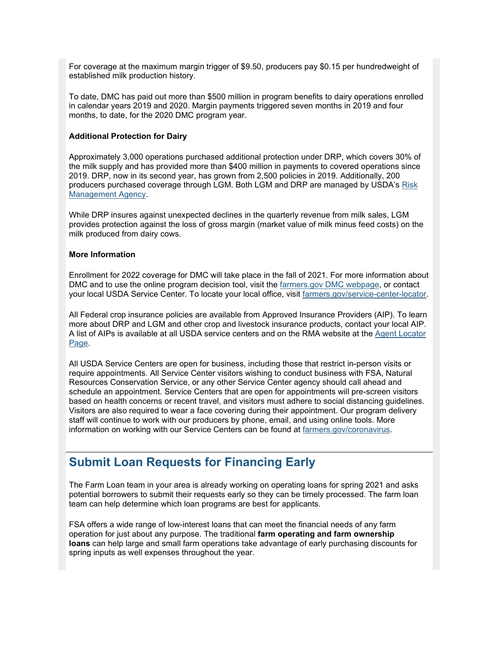For coverage at the maximum margin trigger of \$9.50, producers pay \$0.15 per hundredweight of established milk production history.

To date, DMC has paid out more than \$500 million in program benefits to dairy operations enrolled in calendar years 2019 and 2020. Margin payments triggered seven months in 2019 and four months, to date, for the 2020 DMC program year.

#### **Additional Protection for Dairy**

Approximately 3,000 operations purchased additional protection under DRP, which covers 30% of the milk supply and has provided more than \$400 million in payments to covered operations since 2019. DRP, now in its second year, has grown from 2,500 policies in 2019. Additionally, 200 producers purchased coverage through LGM. Both LGM and DRP are managed by USDA's [Risk](https://gcc02.safelinks.protection.outlook.com/?data=04%7C01%7C%7C8b89667300a341bb5f7b08d8b95eb713%7Ced5b36e701ee4ebc867ee03cfa0d4697%7C0%7C0%7C637463163736724477%7CUnknown%7CTWFpbGZsb3d8eyJWIjoiMC4wLjAwMDAiLCJQIjoiV2luMzIiLCJBTiI6Ik1haWwiLCJXVCI6Mn0%3D%7C1000&reserved=0&sdata=gcNONd5u5cyv%2FmjGc%2Bo%2BInOIzrBeu%2Fq3IGpbPT7WKn8%3D&url=https%3A%2F%2Fwww.rma.usda.gov%2F%3Futm_medium%3Demail%26utm_source%3Dgovdelivery&utm_medium=email&utm_source=govdelivery)  [Management Agency.](https://gcc02.safelinks.protection.outlook.com/?data=04%7C01%7C%7C8b89667300a341bb5f7b08d8b95eb713%7Ced5b36e701ee4ebc867ee03cfa0d4697%7C0%7C0%7C637463163736724477%7CUnknown%7CTWFpbGZsb3d8eyJWIjoiMC4wLjAwMDAiLCJQIjoiV2luMzIiLCJBTiI6Ik1haWwiLCJXVCI6Mn0%3D%7C1000&reserved=0&sdata=gcNONd5u5cyv%2FmjGc%2Bo%2BInOIzrBeu%2Fq3IGpbPT7WKn8%3D&url=https%3A%2F%2Fwww.rma.usda.gov%2F%3Futm_medium%3Demail%26utm_source%3Dgovdelivery&utm_medium=email&utm_source=govdelivery)

While DRP insures against unexpected declines in the quarterly revenue from milk sales, LGM provides protection against the loss of gross margin (market value of milk minus feed costs) on the milk produced from dairy cows.

#### **More Information**

Enrollment for 2022 coverage for DMC will take place in the fall of 2021. For more information about DMC and to use the online program decision tool, visit the [farmers.gov DMC webpage,](https://gcc02.safelinks.protection.outlook.com/?data=04%7C01%7C%7C8b89667300a341bb5f7b08d8b95eb713%7Ced5b36e701ee4ebc867ee03cfa0d4697%7C0%7C0%7C637463163736734441%7CUnknown%7CTWFpbGZsb3d8eyJWIjoiMC4wLjAwMDAiLCJQIjoiV2luMzIiLCJBTiI6Ik1haWwiLCJXVCI6Mn0%3D%7C1000&reserved=0&sdata=tXdtHgOCyIBXiXr34pLefABfFvuBhLdLUcpdpTWzCvA%3D&url=https%3A%2F%2Fwww.fsa.usda.gov%2Fprograms-and-services%2Ffarm-bill%2Ffarm-safety-net%2Fdairy-programs%2Findex%3Futm_medium%3Demail%26utm_source%3Dgovdelivery&utm_medium=email&utm_source=govdelivery) or contact your local USDA Service Center. To locate your local office, visit [farmers.gov/service-center-locator.](https://www.farmers.gov/service-center-locator?utm_medium=email&utm_source=govdelivery)

All Federal crop insurance policies are available from Approved Insurance Providers (AIP). To learn more about DRP and LGM and other crop and livestock insurance products, contact your local AIP. A list of AIPs is available at all USDA service centers and on the RMA website at the [Agent Locator](https://gcc02.safelinks.protection.outlook.com/?data=04%7C01%7C%7C8b89667300a341bb5f7b08d8b95eb713%7Ced5b36e701ee4ebc867ee03cfa0d4697%7C0%7C0%7C637463163736734441%7CUnknown%7CTWFpbGZsb3d8eyJWIjoiMC4wLjAwMDAiLCJQIjoiV2luMzIiLCJBTiI6Ik1haWwiLCJXVCI6Mn0%3D%7C1000&reserved=0&sdata=l0JKyvWfstUHpZrhpHPBEaFg9mwiHAmEb96CbnbhkX8%3D&url=https%3A%2F%2Fwww.rma.usda.gov%2FInformation-Tools%2FAgent-Locator-Page%3Futm_medium%3Demail%26utm_source%3Dgovdelivery&utm_medium=email&utm_source=govdelivery)  [Page.](https://gcc02.safelinks.protection.outlook.com/?data=04%7C01%7C%7C8b89667300a341bb5f7b08d8b95eb713%7Ced5b36e701ee4ebc867ee03cfa0d4697%7C0%7C0%7C637463163736734441%7CUnknown%7CTWFpbGZsb3d8eyJWIjoiMC4wLjAwMDAiLCJQIjoiV2luMzIiLCJBTiI6Ik1haWwiLCJXVCI6Mn0%3D%7C1000&reserved=0&sdata=l0JKyvWfstUHpZrhpHPBEaFg9mwiHAmEb96CbnbhkX8%3D&url=https%3A%2F%2Fwww.rma.usda.gov%2FInformation-Tools%2FAgent-Locator-Page%3Futm_medium%3Demail%26utm_source%3Dgovdelivery&utm_medium=email&utm_source=govdelivery)

All USDA Service Centers are open for business, including those that restrict in-person visits or require appointments. All Service Center visitors wishing to conduct business with FSA, Natural Resources Conservation Service, or any other Service Center agency should call ahead and schedule an appointment. Service Centers that are open for appointments will pre-screen visitors based on health concerns or recent travel, and visitors must adhere to social distancing guidelines. Visitors are also required to wear a face covering during their appointment. Our program delivery staff will continue to work with our producers by phone, email, and using online tools. More information on working with our Service Centers can be found at [farmers.gov/coronavirus.](https://www.farmers.gov/coronavirus?utm_medium=email&utm_source=govdelivery)

## **Submit Loan Requests for Financing Early**

The Farm Loan team in your area is already working on operating loans for spring 2021 and asks potential borrowers to submit their requests early so they can be timely processed. The farm loan team can help determine which loan programs are best for applicants.

FSA offers a wide range of low-interest loans that can meet the financial needs of any farm operation for just about any purpose. The traditional **farm operating and farm ownership loans** can help large and small farm operations take advantage of early purchasing discounts for spring inputs as well expenses throughout the year.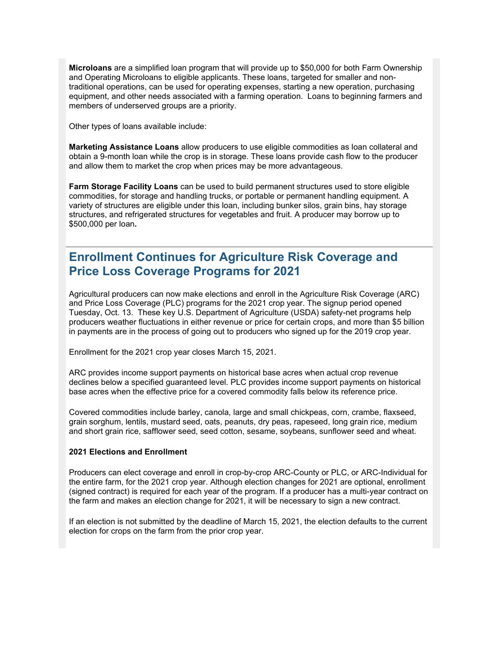**Microloans** are a simplified loan program that will provide up to \$50,000 for both Farm Ownership and Operating Microloans to eligible applicants. These loans, targeted for smaller and nontraditional operations, can be used for operating expenses, starting a new operation, purchasing equipment, and other needs associated with a farming operation. Loans to beginning farmers and members of underserved groups are a priority.

Other types of loans available include:

**Marketing Assistance Loans** allow producers to use eligible commodities as loan collateral and obtain a 9-month loan while the crop is in storage. These loans provide cash flow to the producer and allow them to market the crop when prices may be more advantageous.

**Farm Storage Facility Loans** can be used to build permanent structures used to store eligible commodities, for storage and handling trucks, or portable or permanent handling equipment. A variety of structures are eligible under this loan, including bunker silos, grain bins, hay storage structures, and refrigerated structures for vegetables and fruit. A producer may borrow up to \$500,000 per loan**.**

## **Enrollment Continues for Agriculture Risk Coverage and Price Loss Coverage Programs for 2021**

Agricultural producers can now make elections and enroll in the Agriculture Risk Coverage (ARC) and Price Loss Coverage (PLC) programs for the 2021 crop year. The signup period opened Tuesday, Oct. 13. These key U.S. Department of Agriculture (USDA) safety-net programs help producers weather fluctuations in either revenue or price for certain crops, and more than \$5 billion in payments are in the process of going out to producers who signed up for the 2019 crop year.

Enrollment for the 2021 crop year closes March 15, 2021.

ARC provides income support payments on historical base acres when actual crop revenue declines below a specified guaranteed level. PLC provides income support payments on historical base acres when the effective price for a covered commodity falls below its reference price.

Covered commodities include barley, canola, large and small chickpeas, corn, crambe, flaxseed, grain sorghum, lentils, mustard seed, oats, peanuts, dry peas, rapeseed, long grain rice, medium and short grain rice, safflower seed, seed cotton, sesame, soybeans, sunflower seed and wheat.

#### **2021 Elections and Enrollment**

Producers can elect coverage and enroll in crop-by-crop ARC-County or PLC, or ARC-Individual for the entire farm, for the 2021 crop year. Although election changes for 2021 are optional, enrollment (signed contract) is required for each year of the program. If a producer has a multi-year contract on the farm and makes an election change for 2021, it will be necessary to sign a new contract.

If an election is not submitted by the deadline of March 15, 2021, the election defaults to the current election for crops on the farm from the prior crop year.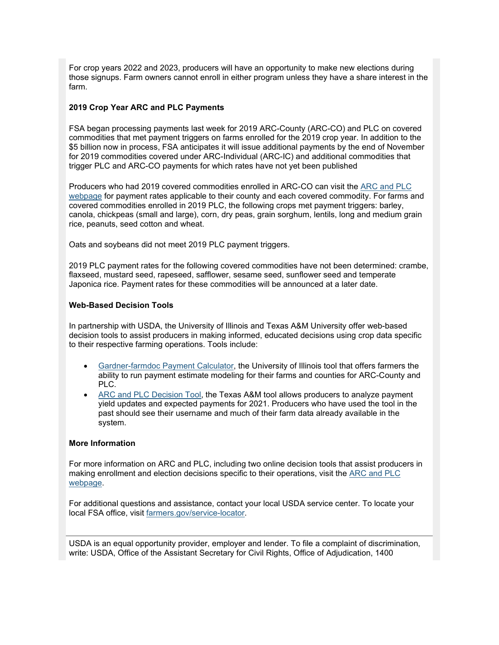For crop years 2022 and 2023, producers will have an opportunity to make new elections during those signups. Farm owners cannot enroll in either program unless they have a share interest in the farm.

#### **2019 Crop Year ARC and PLC Payments**

FSA began processing payments last week for 2019 ARC-County (ARC-CO) and PLC on covered commodities that met payment triggers on farms enrolled for the 2019 crop year. In addition to the \$5 billion now in process, FSA anticipates it will issue additional payments by the end of November for 2019 commodities covered under ARC-Individual (ARC-IC) and additional commodities that trigger PLC and ARC-CO payments for which rates have not yet been published

Producers who had 2019 covered commodities enrolled in ARC-CO can visit the [ARC and PLC](https://gcc02.safelinks.protection.outlook.com/?data=04%7C01%7C%7C7927dde7a5a140fd9e4108d87c2778f1%7Ced5b36e701ee4ebc867ee03cfa0d4697%7C0%7C0%7C637395856261304709%7CUnknown%7CTWFpbGZsb3d8eyJWIjoiMC4wLjAwMDAiLCJQIjoiV2luMzIiLCJBTiI6Ik1haWwiLCJXVCI6Mn0%3D%7C1000&reserved=0&sdata=QzhBRBCy3GGNER6tzczVmr6v1%2FHLD19Ap2g5qUFN1ZY%3D&url=https%3A%2F%2Fwww.fsa.usda.gov%2Fprograms-and-services%2Farcplc_program%2Findex%3Futm_medium%3Demail%26utm_source%3Dgovdelivery&utm_medium=email&utm_source=govdelivery)  [webpage](https://gcc02.safelinks.protection.outlook.com/?data=04%7C01%7C%7C7927dde7a5a140fd9e4108d87c2778f1%7Ced5b36e701ee4ebc867ee03cfa0d4697%7C0%7C0%7C637395856261304709%7CUnknown%7CTWFpbGZsb3d8eyJWIjoiMC4wLjAwMDAiLCJQIjoiV2luMzIiLCJBTiI6Ik1haWwiLCJXVCI6Mn0%3D%7C1000&reserved=0&sdata=QzhBRBCy3GGNER6tzczVmr6v1%2FHLD19Ap2g5qUFN1ZY%3D&url=https%3A%2F%2Fwww.fsa.usda.gov%2Fprograms-and-services%2Farcplc_program%2Findex%3Futm_medium%3Demail%26utm_source%3Dgovdelivery&utm_medium=email&utm_source=govdelivery) for payment rates applicable to their county and each covered commodity. For farms and covered commodities enrolled in 2019 PLC, the following crops met payment triggers: barley, canola, chickpeas (small and large), corn, dry peas, grain sorghum, lentils, long and medium grain rice, peanuts, seed cotton and wheat.

Oats and soybeans did not meet 2019 PLC payment triggers.

2019 PLC payment rates for the following covered commodities have not been determined: crambe, flaxseed, mustard seed, rapeseed, safflower, sesame seed, sunflower seed and temperate Japonica rice. Payment rates for these commodities will be announced at a later date.

#### **Web-Based Decision Tools**

In partnership with USDA, the University of Illinois and Texas A&M University offer web-based decision tools to assist producers in making informed, educated decisions using crop data specific to their respective farming operations. Tools include:

- [Gardner-farmdoc Payment Calculator,](https://gcc02.safelinks.protection.outlook.com/?data=04%7C01%7C%7C7927dde7a5a140fd9e4108d87c2778f1%7Ced5b36e701ee4ebc867ee03cfa0d4697%7C0%7C0%7C637395856261304709%7CUnknown%7CTWFpbGZsb3d8eyJWIjoiMC4wLjAwMDAiLCJQIjoiV2luMzIiLCJBTiI6Ik1haWwiLCJXVCI6Mn0%3D%7C1000&reserved=0&sdata=UuxxjcKvMO4DFsGqxOrxogQBPMAdQr7ZGO0NA0eiVa0%3D&url=https%3A%2F%2Ffarmdocdaily.illinois.edu%2F2019%2F08%2Fintroducing-the-gardner-farmdoc-payment-calculator.html%3Futm_medium%3Demail%26utm_source%3Dgovdelivery&utm_medium=email&utm_source=govdelivery) the University of Illinois tool that offers farmers the ability to run payment estimate modeling for their farms and counties for ARC-County and PLC.
- [ARC and PLC Decision Tool,](https://gcc02.safelinks.protection.outlook.com/?data=04%7C01%7C%7C7927dde7a5a140fd9e4108d87c2778f1%7Ced5b36e701ee4ebc867ee03cfa0d4697%7C0%7C0%7C637395856261314665%7CUnknown%7CTWFpbGZsb3d8eyJWIjoiMC4wLjAwMDAiLCJQIjoiV2luMzIiLCJBTiI6Ik1haWwiLCJXVCI6Mn0%3D%7C1000&reserved=0&sdata=OcD62mTpEITzyuI8DfbJvrDmeXWtt%2FYzVp9s5ngIyi0%3D&url=https%3A%2F%2Fwww.afpc.tamu.edu%2F%3Futm_medium%3Demail%26utm_source%3Dgovdelivery&utm_medium=email&utm_source=govdelivery) the Texas A&M tool allows producers to analyze payment yield updates and expected payments for 2021. Producers who have used the tool in the past should see their username and much of their farm data already available in the system.

#### **More Information**

For more information on ARC and PLC, including two online decision tools that assist producers in making enrollment and election decisions specific to their operations, visit the [ARC and PLC](https://gcc02.safelinks.protection.outlook.com/?data=04%7C01%7C%7C7927dde7a5a140fd9e4108d87c2778f1%7Ced5b36e701ee4ebc867ee03cfa0d4697%7C0%7C0%7C637395856261314665%7CUnknown%7CTWFpbGZsb3d8eyJWIjoiMC4wLjAwMDAiLCJQIjoiV2luMzIiLCJBTiI6Ik1haWwiLCJXVCI6Mn0%3D%7C1000&reserved=0&sdata=YXHrSHnQl%2BhEhq%2FzLf6bZeS0ik4gc4k22Knh8GDgbxI%3D&url=https%3A%2F%2Fwww.fsa.usda.gov%2Fprograms-and-services%2Farcplc_program%2Findex%3Futm_medium%3Demail%26utm_source%3Dgovdelivery&utm_medium=email&utm_source=govdelivery)  [webpage.](https://gcc02.safelinks.protection.outlook.com/?data=04%7C01%7C%7C7927dde7a5a140fd9e4108d87c2778f1%7Ced5b36e701ee4ebc867ee03cfa0d4697%7C0%7C0%7C637395856261314665%7CUnknown%7CTWFpbGZsb3d8eyJWIjoiMC4wLjAwMDAiLCJQIjoiV2luMzIiLCJBTiI6Ik1haWwiLCJXVCI6Mn0%3D%7C1000&reserved=0&sdata=YXHrSHnQl%2BhEhq%2FzLf6bZeS0ik4gc4k22Knh8GDgbxI%3D&url=https%3A%2F%2Fwww.fsa.usda.gov%2Fprograms-and-services%2Farcplc_program%2Findex%3Futm_medium%3Demail%26utm_source%3Dgovdelivery&utm_medium=email&utm_source=govdelivery)

For additional questions and assistance, contact your local USDA service center. To locate your local FSA office, visit [farmers.gov/service-locator.](https://www.farmers.gov/service-center-locator?utm_medium=email&utm_source=govdelivery)

USDA is an equal opportunity provider, employer and lender. To file a complaint of discrimination, write: USDA, Office of the Assistant Secretary for Civil Rights, Office of Adjudication, 1400